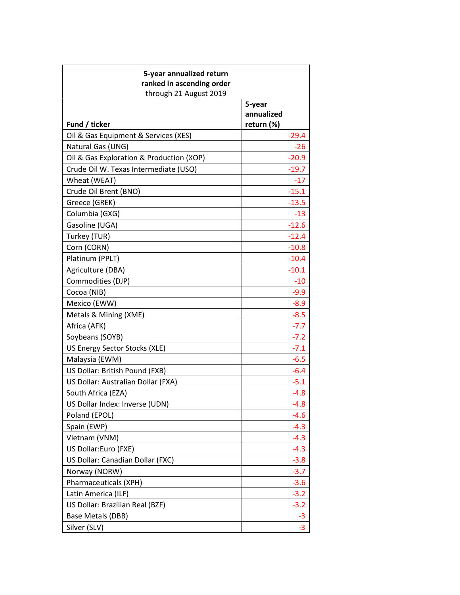| 5-year annualized return<br>ranked in ascending order<br>through 21 August 2019 |                                    |
|---------------------------------------------------------------------------------|------------------------------------|
| Fund / ticker                                                                   | 5-year<br>annualized<br>return (%) |
| Oil & Gas Equipment & Services (XES)                                            | $-29.4$                            |
| Natural Gas (UNG)                                                               | $-26$                              |
| Oil & Gas Exploration & Production (XOP)                                        | $-20.9$                            |
| Crude Oil W. Texas Intermediate (USO)                                           | $-19.7$                            |
| Wheat (WEAT)                                                                    | $-17$                              |
| Crude Oil Brent (BNO)                                                           | $-15.1$                            |
| Greece (GREK)                                                                   | $-13.5$                            |
| Columbia (GXG)                                                                  | $-13$                              |
| Gasoline (UGA)                                                                  | $-12.6$                            |
| Turkey (TUR)                                                                    | $-12.4$                            |
| Corn (CORN)                                                                     | $-10.8$                            |
| Platinum (PPLT)                                                                 | $-10.4$                            |
| Agriculture (DBA)                                                               | $-10.1$                            |
| Commodities (DJP)                                                               | $-10$                              |
| Cocoa (NIB)                                                                     | $-9.9$                             |
| Mexico (EWW)                                                                    | $-8.9$                             |
| Metals & Mining (XME)                                                           | $-8.5$                             |
| Africa (AFK)                                                                    | $-7.7$                             |
| Soybeans (SOYB)                                                                 | $-7.2$                             |
| US Energy Sector Stocks (XLE)                                                   | $-7.1$                             |
| Malaysia (EWM)                                                                  | $-6.5$                             |
| US Dollar: British Pound (FXB)                                                  | $-6.4$                             |
| US Dollar: Australian Dollar (FXA)                                              | $-5.1$                             |
| South Africa (EZA)                                                              | $-4.8$                             |
| US Dollar Index: Inverse (UDN)                                                  | $-4.8$                             |
| Poland (EPOL)                                                                   | -4.6                               |
| Spain (EWP)                                                                     | $-4.3$                             |
| Vietnam (VNM)                                                                   | $-4.3$                             |
| US Dollar:Euro (FXE)                                                            | $-4.3$                             |
| US Dollar: Canadian Dollar (FXC)                                                | $-3.8$                             |
| Norway (NORW)                                                                   | $-3.7$                             |
| Pharmaceuticals (XPH)                                                           | $-3.6$                             |
| Latin America (ILF)                                                             | $-3.2$                             |
| US Dollar: Brazilian Real (BZF)                                                 | $-3.2$                             |
| Base Metals (DBB)                                                               | $-3$                               |
| Silver (SLV)                                                                    | $-3$                               |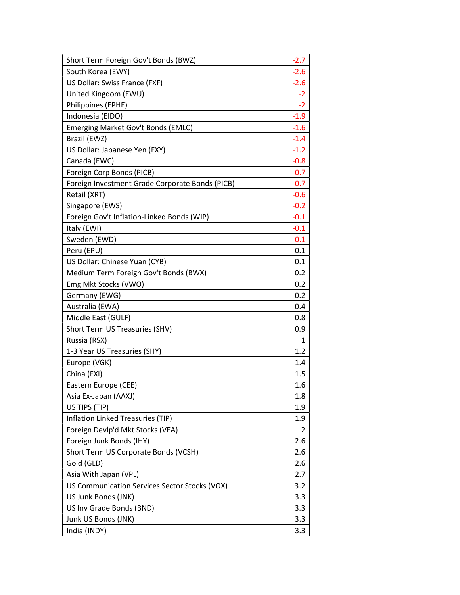| Short Term Foreign Gov't Bonds (BWZ)            | $-2.7$ |
|-------------------------------------------------|--------|
| South Korea (EWY)                               | $-2.6$ |
| US Dollar: Swiss France (FXF)                   | $-2.6$ |
| United Kingdom (EWU)                            | $-2$   |
| Philippines (EPHE)                              | $-2$   |
| Indonesia (EIDO)                                | $-1.9$ |
| Emerging Market Gov't Bonds (EMLC)              | $-1.6$ |
| Brazil (EWZ)                                    | $-1.4$ |
| US Dollar: Japanese Yen (FXY)                   | $-1.2$ |
| Canada (EWC)                                    | $-0.8$ |
| Foreign Corp Bonds (PICB)                       | $-0.7$ |
| Foreign Investment Grade Corporate Bonds (PICB) | $-0.7$ |
| Retail (XRT)                                    | $-0.6$ |
| Singapore (EWS)                                 | $-0.2$ |
| Foreign Gov't Inflation-Linked Bonds (WIP)      | $-0.1$ |
| Italy (EWI)                                     | $-0.1$ |
| Sweden (EWD)                                    | $-0.1$ |
| Peru (EPU)                                      | 0.1    |
| US Dollar: Chinese Yuan (CYB)                   | 0.1    |
| Medium Term Foreign Gov't Bonds (BWX)           | 0.2    |
| Emg Mkt Stocks (VWO)                            | 0.2    |
| Germany (EWG)                                   | 0.2    |
| Australia (EWA)                                 | 0.4    |
| Middle East (GULF)                              | 0.8    |
| Short Term US Treasuries (SHV)                  | 0.9    |
| Russia (RSX)                                    | 1      |
| 1-3 Year US Treasuries (SHY)                    | 1.2    |
| Europe (VGK)                                    | 1.4    |
| China (FXI)                                     | 1.5    |
| Eastern Europe (CEE)                            | 1.6    |
| Asia Ex-Japan (AAXJ)                            | 1.8    |
| US TIPS (TIP)                                   | 1.9    |
| Inflation Linked Treasuries (TIP)               | 1.9    |
| Foreign Devlp'd Mkt Stocks (VEA)                | 2      |
| Foreign Junk Bonds (IHY)                        | 2.6    |
| Short Term US Corporate Bonds (VCSH)            | 2.6    |
| Gold (GLD)                                      | 2.6    |
| Asia With Japan (VPL)                           | 2.7    |
| US Communication Services Sector Stocks (VOX)   | 3.2    |
| US Junk Bonds (JNK)                             | 3.3    |
| US Inv Grade Bonds (BND)                        | 3.3    |
| Junk US Bonds (JNK)                             | 3.3    |
| India (INDY)                                    | 3.3    |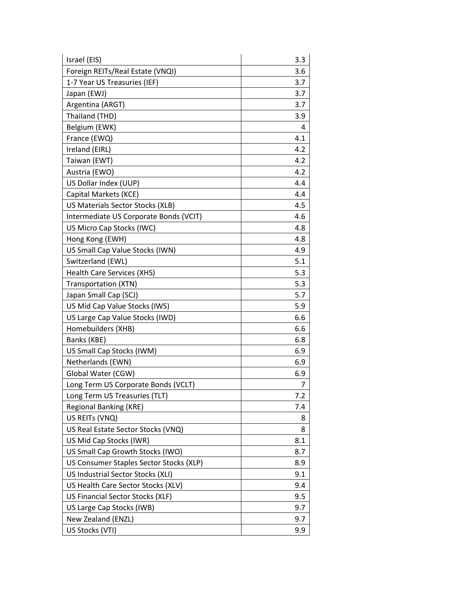| Israel (EIS)                            | 3.3 |
|-----------------------------------------|-----|
| Foreign REITs/Real Estate (VNQI)        | 3.6 |
| 1-7 Year US Treasuries (IEF)            | 3.7 |
| Japan (EWJ)                             | 3.7 |
| Argentina (ARGT)                        | 3.7 |
| Thailand (THD)                          | 3.9 |
| Belgium (EWK)                           | 4   |
| France (EWQ)                            | 4.1 |
| Ireland (EIRL)                          | 4.2 |
| Taiwan (EWT)                            | 4.2 |
| Austria (EWO)                           | 4.2 |
| US Dollar Index (UUP)                   | 4.4 |
| Capital Markets (KCE)                   | 4.4 |
| US Materials Sector Stocks (XLB)        | 4.5 |
| Intermediate US Corporate Bonds (VCIT)  | 4.6 |
| US Micro Cap Stocks (IWC)               | 4.8 |
| Hong Kong (EWH)                         | 4.8 |
| US Small Cap Value Stocks (IWN)         | 4.9 |
| Switzerland (EWL)                       | 5.1 |
| <b>Health Care Services (XHS)</b>       | 5.3 |
| Transportation (XTN)                    | 5.3 |
| Japan Small Cap (SCJ)                   | 5.7 |
| US Mid Cap Value Stocks (IWS)           | 5.9 |
| US Large Cap Value Stocks (IWD)         | 6.6 |
| Homebuilders (XHB)                      | 6.6 |
| Banks (KBE)                             | 6.8 |
| US Small Cap Stocks (IWM)               | 6.9 |
| Netherlands (EWN)                       | 6.9 |
| Global Water (CGW)                      | 6.9 |
| Long Term US Corporate Bonds (VCLT)     | 7   |
| Long Term US Treasuries (TLT)           | 7.2 |
| <b>Regional Banking (KRE)</b>           | 7.4 |
| US REITS (VNQ)                          | 8   |
| US Real Estate Sector Stocks (VNQ)      | 8   |
| US Mid Cap Stocks (IWR)                 | 8.1 |
| US Small Cap Growth Stocks (IWO)        | 8.7 |
| US Consumer Staples Sector Stocks (XLP) | 8.9 |
| US Industrial Sector Stocks (XLI)       | 9.1 |
| US Health Care Sector Stocks (XLV)      | 9.4 |
| US Financial Sector Stocks (XLF)        | 9.5 |
| US Large Cap Stocks (IWB)               | 9.7 |
| New Zealand (ENZL)                      | 9.7 |
| US Stocks (VTI)                         | 9.9 |